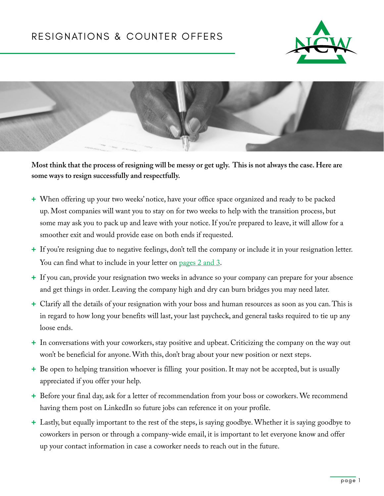



**Most think that the process of resigning will be messy or get ugly. This is not always the case. Here are some ways to resign successfully and respectfully.**

- **+** When offering up your two weeks' notice, have your office space organized and ready to be packed up. Most companies will want you to stay on for two weeks to help with the transition process, but some may ask you to pack up and leave with your notice. If you're prepared to leave, it will allow for a smoother exit and would provide ease on both ends if requested.
- **+** If you're resigning due to negative feelings, don't tell the company or include it in your resignation letter. You can find what to include in your letter on [pages](#page-1-0) 2 and 3.
- **+** If you can, provide your resignation two weeks in advance so your company can prepare for your absence and get things in order. Leaving the company high and dry can burn bridges you may need later.
- **+** Clarify all the details of your resignation with your boss and human resources as soon as you can. This is in regard to how long your benefits will last, your last paycheck, and general tasks required to tie up any loose ends.
- **+** In conversations with your coworkers, stay positive and upbeat. Criticizing the company on the way out won't be beneficial for anyone. With this, don't brag about your new position or next steps.
- **+** Be open to helping transition whoever is filling your position. It may not be accepted, but is usually appreciated if you offer your help.
- **+** Before your final day, ask for a letter of recommendation from your boss or coworkers. We recommend having them post on LinkedIn so future jobs can reference it on your profile.
- **+** Lastly, but equally important to the rest of the steps, is saying goodbye. Whether it is saying goodbye to coworkers in person or through a company-wide email, it is important to let everyone know and offer up your contact information in case a coworker needs to reach out in the future.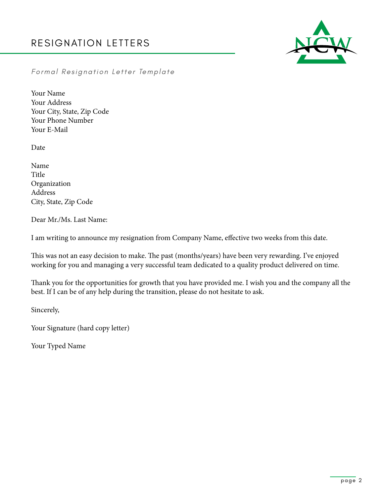

<span id="page-1-0"></span>*Formal Resignation Letter Template*

Your Name Your Address Your City, State, Zip Code Your Phone Number Your E-Mail

Date

Name Title Organization Address City, State, Zip Code

Dear Mr./Ms. Last Name:

I am writing to announce my resignation from Company Name, effective two weeks from this date.

This was not an easy decision to make. The past (months/years) have been very rewarding. I've enjoyed working for you and managing a very successful team dedicated to a quality product delivered on time.

Thank you for the opportunities for growth that you have provided me. I wish you and the company all the best. If I can be of any help during the transition, please do not hesitate to ask.

Sincerely,

Your Signature (hard copy letter)

Your Typed Name